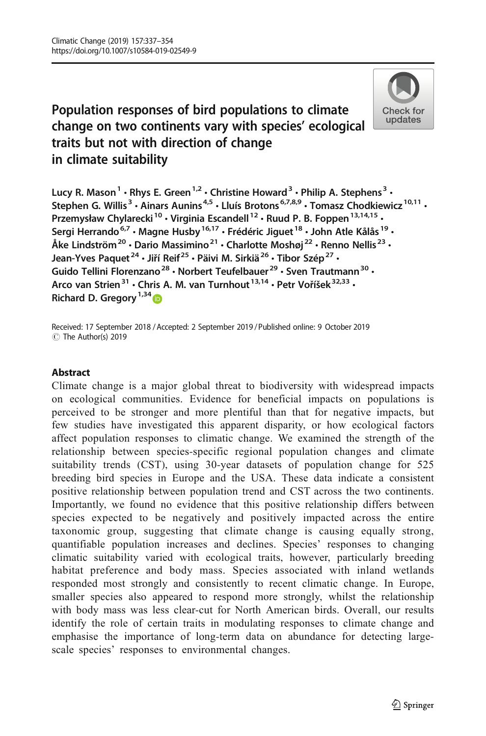# Population responses of bird populations to climate change on two continents vary with species' ecological traits but not with direction of change in climate suitability



Lucy R. Mason<sup>1</sup>  $\cdot$  Rhys E. Green<sup>1,2</sup>  $\cdot$  Christine Howard<sup>3</sup>  $\cdot$  Philip A. Stephens<sup>3</sup>  $\cdot$ Stephen G. Willis<sup>3</sup>  $\cdot$  Ainars Aunins<sup>4,5</sup>  $\cdot$  Lluís Brotons<sup>6,7,8,9</sup>  $\cdot$  Tomasz Chodkiewicz<sup>10,11</sup>  $\cdot$ Przemysław Chylarecki<sup>10</sup> • Virginia Escandell<sup>12</sup> • Ruud P. B. Foppen<sup>13,14,15</sup> • Sergi Herrando<sup>6,7</sup> · Magne Husby<sup>16,17</sup> · Frédéric Jiguet<sup>18</sup> · John Atle Kålås<sup>19</sup> · Åke Lindström<sup>20</sup> · Dario Massimino<sup>21</sup> · Charlotte Moshøj<sup>22</sup> · Renno Nellis<sup>23</sup> · Jean-Yves Paquet<sup>24</sup> · Jiří Reif<sup>25</sup> · Päivi M. Sirkiä<sup>26</sup> · Tibor Szép<sup>27</sup> · Guido Tellini Florenzano<sup>28</sup> • Norbert Teufelbauer<sup>29</sup> • Sven Trautmann<sup>30</sup> • Arco van Strien<sup>31</sup> · Chris A. M. van Turnhout<sup>13,14</sup> · Petr Voříšek<sup>32,33</sup> · Richard D. Gregory<sup>1,34</sup>

Received: 17 September 2018 / Accepted: 2 September 2019 /Published online: 9 October 2019 C The Author(s) 2019

## Abstract

Climate change is a major global threat to biodiversity with widespread impacts on ecological communities. Evidence for beneficial impacts on populations is perceived to be stronger and more plentiful than that for negative impacts, but few studies have investigated this apparent disparity, or how ecological factors affect population responses to climatic change. We examined the strength of the relationship between species-specific regional population changes and climate suitability trends (CST), using 30-year datasets of population change for 525 breeding bird species in Europe and the USA. These data indicate a consistent positive relationship between population trend and CST across the two continents. Importantly, we found no evidence that this positive relationship differs between species expected to be negatively and positively impacted across the entire taxonomic group, suggesting that climate change is causing equally strong, quantifiable population increases and declines. Species' responses to changing climatic suitability varied with ecological traits, however, particularly breeding habitat preference and body mass. Species associated with inland wetlands responded most strongly and consistently to recent climatic change. In Europe, smaller species also appeared to respond more strongly, whilst the relationship with body mass was less clear-cut for North American birds. Overall, our results identify the role of certain traits in modulating responses to climate change and emphasise the importance of long-term data on abundance for detecting largescale species' responses to environmental changes.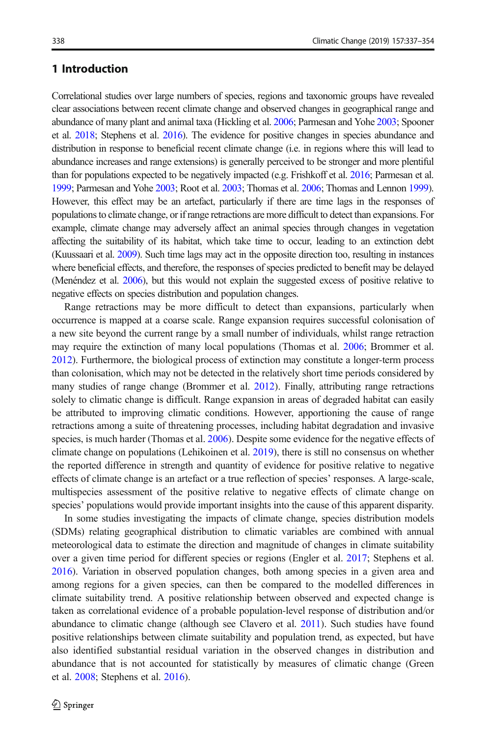# 1 Introduction

Correlational studies over large numbers of species, regions and taxonomic groups have revealed clear associations between recent climate change and observed changes in geographical range and abundance of many plant and animal taxa (Hickling et al. [2006](#page-14-0); Parmesan and Yohe [2003;](#page-15-0) Spooner et al. [2018;](#page-15-0) Stephens et al. [2016\)](#page-15-0). The evidence for positive changes in species abundance and distribution in response to beneficial recent climate change (i.e. in regions where this will lead to abundance increases and range extensions) is generally perceived to be stronger and more plentiful than for populations expected to be negatively impacted (e.g. Frishkoff et al. [2016](#page-14-0); Parmesan et al. [1999;](#page-15-0) Parmesan and Yohe [2003](#page-15-0); Root et al. [2003;](#page-15-0) Thomas et al. [2006](#page-15-0); Thomas and Lennon [1999](#page-15-0)). However, this effect may be an artefact, particularly if there are time lags in the responses of populations to climate change, or if range retractions are more difficult to detect than expansions. For example, climate change may adversely affect an animal species through changes in vegetation affecting the suitability of its habitat, which take time to occur, leading to an extinction debt (Kuussaari et al. [2009\)](#page-14-0). Such time lags may act in the opposite direction too, resulting in instances where beneficial effects, and therefore, the responses of species predicted to benefit may be delayed (Menéndez et al. [2006\)](#page-14-0), but this would not explain the suggested excess of positive relative to negative effects on species distribution and population changes.

Range retractions may be more difficult to detect than expansions, particularly when occurrence is mapped at a coarse scale. Range expansion requires successful colonisation of a new site beyond the current range by a small number of individuals, whilst range retraction may require the extinction of many local populations (Thomas et al. [2006](#page-15-0); Brommer et al. [2012](#page-13-0)). Furthermore, the biological process of extinction may constitute a longer-term process than colonisation, which may not be detected in the relatively short time periods considered by many studies of range change (Brommer et al. [2012](#page-13-0)). Finally, attributing range retractions solely to climatic change is difficult. Range expansion in areas of degraded habitat can easily be attributed to improving climatic conditions. However, apportioning the cause of range retractions among a suite of threatening processes, including habitat degradation and invasive species, is much harder (Thomas et al. [2006](#page-15-0)). Despite some evidence for the negative effects of climate change on populations (Lehikoinen et al. [2019](#page-14-0)), there is still no consensus on whether the reported difference in strength and quantity of evidence for positive relative to negative effects of climate change is an artefact or a true reflection of species' responses. A large-scale, multispecies assessment of the positive relative to negative effects of climate change on species' populations would provide important insights into the cause of this apparent disparity.

In some studies investigating the impacts of climate change, species distribution models (SDMs) relating geographical distribution to climatic variables are combined with annual meteorological data to estimate the direction and magnitude of changes in climate suitability over a given time period for different species or regions (Engler et al. [2017](#page-13-0); Stephens et al. [2016](#page-15-0)). Variation in observed population changes, both among species in a given area and among regions for a given species, can then be compared to the modelled differences in climate suitability trend. A positive relationship between observed and expected change is taken as correlational evidence of a probable population-level response of distribution and/or abundance to climatic change (although see Clavero et al. [2011](#page-13-0)). Such studies have found positive relationships between climate suitability and population trend, as expected, but have also identified substantial residual variation in the observed changes in distribution and abundance that is not accounted for statistically by measures of climatic change (Green et al. [2008](#page-14-0); Stephens et al. [2016\)](#page-15-0).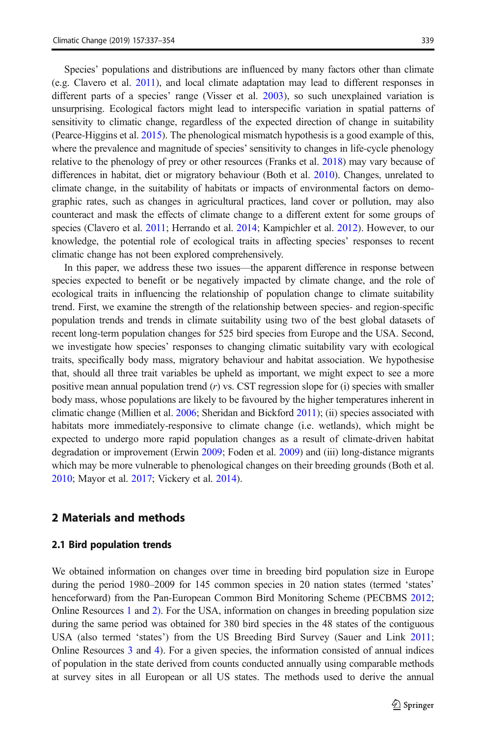Species' populations and distributions are influenced by many factors other than climate (e.g. Clavero et al. [2011\)](#page-13-0), and local climate adaptation may lead to different responses in different parts of a species' range (Visser et al. [2003\)](#page-16-0), so such unexplained variation is unsurprising. Ecological factors might lead to interspecific variation in spatial patterns of sensitivity to climatic change, regardless of the expected direction of change in suitability (Pearce-Higgins et al. [2015](#page-15-0)). The phenological mismatch hypothesis is a good example of this, where the prevalence and magnitude of species' sensitivity to changes in life-cycle phenology relative to the phenology of prey or other resources (Franks et al. [2018\)](#page-14-0) may vary because of differences in habitat, diet or migratory behaviour (Both et al. [2010](#page-13-0)). Changes, unrelated to climate change, in the suitability of habitats or impacts of environmental factors on demographic rates, such as changes in agricultural practices, land cover or pollution, may also counteract and mask the effects of climate change to a different extent for some groups of species (Clavero et al. [2011](#page-13-0); Herrando et al. [2014;](#page-14-0) Kampichler et al. [2012\)](#page-14-0). However, to our knowledge, the potential role of ecological traits in affecting species' responses to recent climatic change has not been explored comprehensively.

In this paper, we address these two issues—the apparent difference in response between species expected to benefit or be negatively impacted by climate change, and the role of ecological traits in influencing the relationship of population change to climate suitability trend. First, we examine the strength of the relationship between species- and region-specific population trends and trends in climate suitability using two of the best global datasets of recent long-term population changes for 525 bird species from Europe and the USA. Second, we investigate how species' responses to changing climatic suitability vary with ecological traits, specifically body mass, migratory behaviour and habitat association. We hypothesise that, should all three trait variables be upheld as important, we might expect to see a more positive mean annual population trend  $(r)$  vs. CST regression slope for (i) species with smaller body mass, whose populations are likely to be favoured by the higher temperatures inherent in climatic change (Millien et al. [2006;](#page-15-0) Sheridan and Bickford [2011](#page-15-0)); (ii) species associated with habitats more immediately-responsive to climate change (i.e. wetlands), which might be expected to undergo more rapid population changes as a result of climate-driven habitat degradation or improvement (Erwin [2009;](#page-13-0) Foden et al. [2009](#page-13-0)) and (iii) long-distance migrants which may be more vulnerable to phenological changes on their breeding grounds (Both et al. [2010](#page-13-0); Mayor et al. [2017](#page-14-0); Vickery et al. [2014](#page-16-0)).

# 2 Materials and methods

#### 2.1 Bird population trends

We obtained information on changes over time in breeding bird population size in Europe during the period 1980–2009 for 145 common species in 20 nation states (termed 'states' henceforward) from the Pan-European Common Bird Monitoring Scheme (PECBMS [2012](#page-15-0); Online Resources 1 and 2). For the USA, information on changes in breeding population size during the same period was obtained for 380 bird species in the 48 states of the contiguous USA (also termed 'states') from the US Breeding Bird Survey (Sauer and Link [2011](#page-15-0); Online Resources 3 and 4). For a given species, the information consisted of annual indices of population in the state derived from counts conducted annually using comparable methods at survey sites in all European or all US states. The methods used to derive the annual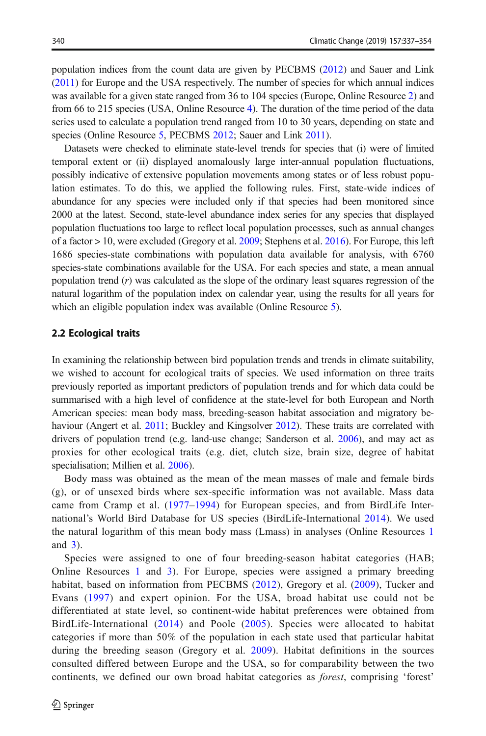population indices from the count data are given by PECBMS [\(2012\)](#page-15-0) and Sauer and Link ([2011\)](#page-15-0) for Europe and the USA respectively. The number of species for which annual indices was available for a given state ranged from 36 to 104 species (Europe, Online Resource 2) and from 66 to 215 species (USA, Online Resource 4). The duration of the time period of the data series used to calculate a population trend ranged from 10 to 30 years, depending on state and species (Online Resource 5, PECBMS [2012](#page-15-0); Sauer and Link [2011\)](#page-15-0).

Datasets were checked to eliminate state-level trends for species that (i) were of limited temporal extent or (ii) displayed anomalously large inter-annual population fluctuations, possibly indicative of extensive population movements among states or of less robust population estimates. To do this, we applied the following rules. First, state-wide indices of abundance for any species were included only if that species had been monitored since 2000 at the latest. Second, state-level abundance index series for any species that displayed population fluctuations too large to reflect local population processes, such as annual changes of a factor > 10, were excluded (Gregory et al. [2009;](#page-14-0) Stephens et al. [2016](#page-15-0)). For Europe, this left 1686 species-state combinations with population data available for analysis, with 6760 species-state combinations available for the USA. For each species and state, a mean annual population trend  $(r)$  was calculated as the slope of the ordinary least squares regression of the natural logarithm of the population index on calendar year, using the results for all years for which an eligible population index was available (Online Resource 5).

#### 2.2 Ecological traits

In examining the relationship between bird population trends and trends in climate suitability, we wished to account for ecological traits of species. We used information on three traits previously reported as important predictors of population trends and for which data could be summarised with a high level of confidence at the state-level for both European and North American species: mean body mass, breeding-season habitat association and migratory be-haviour (Angert et al. [2011](#page-13-0); Buckley and Kingsolver [2012\)](#page-13-0). These traits are correlated with drivers of population trend (e.g. land-use change; Sanderson et al. [2006](#page-15-0)), and may act as proxies for other ecological traits (e.g. diet, clutch size, brain size, degree of habitat specialisation; Millien et al. [2006\)](#page-15-0).

Body mass was obtained as the mean of the mean masses of male and female birds (g), or of unsexed birds where sex-specific information was not available. Mass data came from Cramp et al. ([1977](#page-13-0)–[1994](#page-13-0)) for European species, and from BirdLife International's World Bird Database for US species (BirdLife-International [2014](#page-13-0)). We used the natural logarithm of this mean body mass (Lmass) in analyses (Online Resources 1 and 3).

Species were assigned to one of four breeding-season habitat categories (HAB; Online Resources 1 and 3). For Europe, species were assigned a primary breeding habitat, based on information from PECBMS [\(2012](#page-15-0)), Gregory et al. ([2009\)](#page-14-0), Tucker and Evans [\(1997](#page-15-0)) and expert opinion. For the USA, broad habitat use could not be differentiated at state level, so continent-wide habitat preferences were obtained from BirdLife-International ([2014](#page-13-0)) and Poole ([2005](#page-15-0)). Species were allocated to habitat categories if more than 50% of the population in each state used that particular habitat during the breeding season (Gregory et al. [2009](#page-14-0)). Habitat definitions in the sources consulted differed between Europe and the USA, so for comparability between the two continents, we defined our own broad habitat categories as forest, comprising 'forest'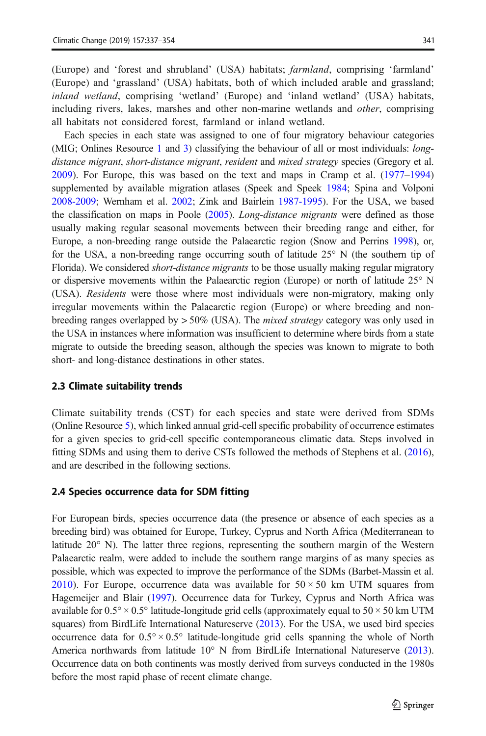(Europe) and 'forest and shrubland' (USA) habitats; farmland, comprising 'farmland' (Europe) and 'grassland' (USA) habitats, both of which included arable and grassland; inland wetland, comprising 'wetland' (Europe) and 'inland wetland' (USA) habitats, including rivers, lakes, marshes and other non-marine wetlands and *other*, comprising all habitats not considered forest, farmland or inland wetland.

Each species in each state was assigned to one of four migratory behaviour categories (MIG; Onlines Resource 1 and 3) classifying the behaviour of all or most individuals: longdistance migrant, short-distance migrant, resident and mixed strategy species (Gregory et al. [2009\)](#page-14-0). For Europe, this was based on the text and maps in Cramp et al. [\(1977](#page-13-0)–[1994\)](#page-13-0) supplemented by available migration atlases (Speek and Speek [1984;](#page-15-0) Spina and Volponi [2008-2009;](#page-15-0) Wernham et al. [2002;](#page-16-0) Zink and Bairlein [1987-1995\)](#page-16-0). For the USA, we based the classification on maps in Poole ([2005](#page-15-0)). Long-distance migrants were defined as those usually making regular seasonal movements between their breeding range and either, for Europe, a non-breeding range outside the Palaearctic region (Snow and Perrins [1998\)](#page-15-0), or, for the USA, a non-breeding range occurring south of latitude 25° N (the southern tip of Florida). We considered *short-distance migrants* to be those usually making regular migratory or dispersive movements within the Palaearctic region (Europe) or north of latitude 25° N (USA). Residents were those where most individuals were non-migratory, making only irregular movements within the Palaearctic region (Europe) or where breeding and nonbreeding ranges overlapped by  $> 50\%$  (USA). The *mixed strategy* category was only used in the USA in instances where information was insufficient to determine where birds from a state migrate to outside the breeding season, although the species was known to migrate to both short- and long-distance destinations in other states.

#### 2.3 Climate suitability trends

Climate suitability trends (CST) for each species and state were derived from SDMs (Online Resource 5), which linked annual grid-cell specific probability of occurrence estimates for a given species to grid-cell specific contemporaneous climatic data. Steps involved in fitting SDMs and using them to derive CSTs followed the methods of Stephens et al. ([2016](#page-15-0)), and are described in the following sections.

#### 2.4 Species occurrence data for SDM fitting

For European birds, species occurrence data (the presence or absence of each species as a breeding bird) was obtained for Europe, Turkey, Cyprus and North Africa (Mediterranean to latitude 20° N). The latter three regions, representing the southern margin of the Western Palaearctic realm, were added to include the southern range margins of as many species as possible, which was expected to improve the performance of the SDMs (Barbet-Massin et al. [2010\)](#page-13-0). For Europe, occurrence data was available for  $50 \times 50$  km UTM squares from Hagemeijer and Blair [\(1997\)](#page-14-0). Occurrence data for Turkey, Cyprus and North Africa was available for  $0.5^{\circ} \times 0.5^{\circ}$  latitude-longitude grid cells (approximately equal to  $50 \times 50$  km UTM squares) from BirdLife International Natureserve ([2013](#page-13-0)). For the USA, we used bird species occurrence data for  $0.5^{\circ} \times 0.5^{\circ}$  latitude-longitude grid cells spanning the whole of North America northwards from latitude 10° N from BirdLife International Natureserve ([2013](#page-13-0)). Occurrence data on both continents was mostly derived from surveys conducted in the 1980s before the most rapid phase of recent climate change.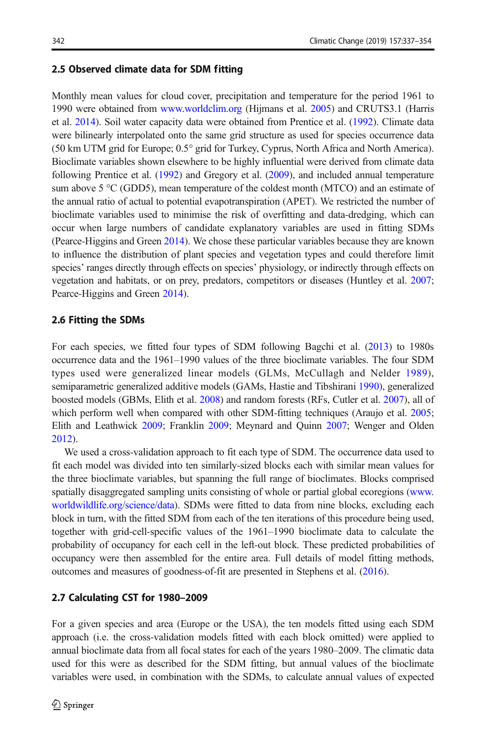## 2.5 Observed climate data for SDM fitting

Monthly mean values for cloud cover, precipitation and temperature for the period 1961 to 1990 were obtained from [www.worldclim.org](http://www.worldclim.org) (Hijmans et al. [2005\)](#page-14-0) and CRUTS3.1 (Harris et al. [2014](#page-14-0)). Soil water capacity data were obtained from Prentice et al. ([1992](#page-15-0)). Climate data were bilinearly interpolated onto the same grid structure as used for species occurrence data (50 km UTM grid for Europe; 0.5° grid for Turkey, Cyprus, North Africa and North America). Bioclimate variables shown elsewhere to be highly influential were derived from climate data following Prentice et al. [\(1992\)](#page-15-0) and Gregory et al. [\(2009\)](#page-14-0), and included annual temperature sum above  $5 \text{ °C}$  (GDD5), mean temperature of the coldest month (MTCO) and an estimate of the annual ratio of actual to potential evapotranspiration (APET). We restricted the number of bioclimate variables used to minimise the risk of overfitting and data-dredging, which can occur when large numbers of candidate explanatory variables are used in fitting SDMs (Pearce-Higgins and Green [2014\)](#page-15-0). We chose these particular variables because they are known to influence the distribution of plant species and vegetation types and could therefore limit species' ranges directly through effects on species' physiology, or indirectly through effects on vegetation and habitats, or on prey, predators, competitors or diseases (Huntley et al. [2007](#page-14-0); Pearce-Higgins and Green [2014\)](#page-15-0).

# 2.6 Fitting the SDMs

For each species, we fitted four types of SDM following Bagchi et al. [\(2013\)](#page-13-0) to 1980s occurrence data and the 1961–1990 values of the three bioclimate variables. The four SDM types used were generalized linear models (GLMs, McCullagh and Nelder [1989\)](#page-14-0), semiparametric generalized additive models (GAMs, Hastie and Tibshirani [1990\)](#page-14-0), generalized boosted models (GBMs, Elith et al. [2008](#page-13-0)) and random forests (RFs, Cutler et al. [2007](#page-13-0)), all of which perform well when compared with other SDM-fitting techniques (Araujo et al. [2005](#page-13-0); Elith and Leathwick [2009](#page-13-0); Franklin [2009;](#page-14-0) Meynard and Quinn [2007;](#page-14-0) Wenger and Olden [2012](#page-16-0)).

We used a cross-validation approach to fit each type of SDM. The occurrence data used to fit each model was divided into ten similarly-sized blocks each with similar mean values for the three bioclimate variables, but spanning the full range of bioclimates. Blocks comprised spatially disaggregated sampling units consisting of whole or partial global ecoregions ([www.](http://www.worldwildlife.org/science/data) [worldwildlife.org/science/data\)](http://www.worldwildlife.org/science/data). SDMs were fitted to data from nine blocks, excluding each block in turn, with the fitted SDM from each of the ten iterations of this procedure being used, together with grid-cell-specific values of the 1961–1990 bioclimate data to calculate the probability of occupancy for each cell in the left-out block. These predicted probabilities of occupancy were then assembled for the entire area. Full details of model fitting methods, outcomes and measures of goodness-of-fit are presented in Stephens et al. [\(2016\)](#page-15-0).

# 2.7 Calculating CST for 1980–2009

For a given species and area (Europe or the USA), the ten models fitted using each SDM approach (i.e. the cross-validation models fitted with each block omitted) were applied to annual bioclimate data from all focal states for each of the years 1980–2009. The climatic data used for this were as described for the SDM fitting, but annual values of the bioclimate variables were used, in combination with the SDMs, to calculate annual values of expected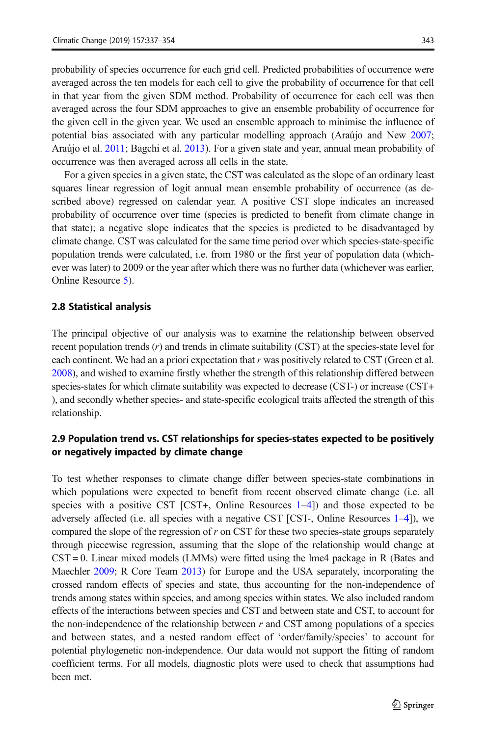probability of species occurrence for each grid cell. Predicted probabilities of occurrence were averaged across the ten models for each cell to give the probability of occurrence for that cell in that year from the given SDM method. Probability of occurrence for each cell was then averaged across the four SDM approaches to give an ensemble probability of occurrence for the given cell in the given year. We used an ensemble approach to minimise the influence of potential bias associated with any particular modelling approach (Araújo and New [2007](#page-13-0); Araújo et al. [2011](#page-13-0); Bagchi et al. [2013\)](#page-13-0). For a given state and year, annual mean probability of occurrence was then averaged across all cells in the state.

For a given species in a given state, the CST was calculated as the slope of an ordinary least squares linear regression of logit annual mean ensemble probability of occurrence (as described above) regressed on calendar year. A positive CST slope indicates an increased probability of occurrence over time (species is predicted to benefit from climate change in that state); a negative slope indicates that the species is predicted to be disadvantaged by climate change. CST was calculated for the same time period over which species-state-specific population trends were calculated, i.e. from 1980 or the first year of population data (whichever was later) to 2009 or the year after which there was no further data (whichever was earlier, Online Resource 5).

#### 2.8 Statistical analysis

The principal objective of our analysis was to examine the relationship between observed recent population trends  $(r)$  and trends in climate suitability (CST) at the species-state level for each continent. We had an a priori expectation that  $r$  was positively related to CST (Green et al. [2008](#page-14-0)), and wished to examine firstly whether the strength of this relationship differed between species-states for which climate suitability was expected to decrease (CST-) or increase (CST+) ), and secondly whether species- and state-specific ecological traits affected the strength of this relationship.

# 2.9 Population trend vs. CST relationships for species-states expected to be positively or negatively impacted by climate change

To test whether responses to climate change differ between species-state combinations in which populations were expected to benefit from recent observed climate change (i.e. all species with a positive CST  $[CST+$ , Online Resources  $1-4$ ) and those expected to be adversely affected (i.e. all species with a negative CST [CST-, Online Resources  $1-4$ ]), we compared the slope of the regression of  $r$  on CST for these two species-state groups separately through piecewise regression, assuming that the slope of the relationship would change at  $CST = 0$ . Linear mixed models (LMMs) were fitted using the lme4 package in R (Bates and Maechler [2009](#page-13-0); R Core Team [2013\)](#page-15-0) for Europe and the USA separately, incorporating the crossed random effects of species and state, thus accounting for the non-independence of trends among states within species, and among species within states. We also included random effects of the interactions between species and CST and between state and CST, to account for the non-independence of the relationship between  $r$  and CST among populations of a species and between states, and a nested random effect of 'order/family/species' to account for potential phylogenetic non-independence. Our data would not support the fitting of random coefficient terms. For all models, diagnostic plots were used to check that assumptions had been met.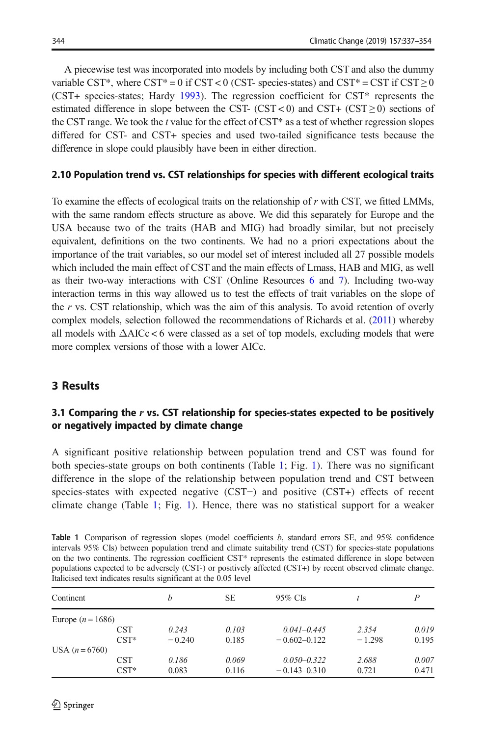<span id="page-7-0"></span>A piecewise test was incorporated into models by including both CST and also the dummy variable CST\*, where CST\* = 0 if CST < 0 (CST- species-states) and CST\* = CST if CST  $\geq$  0 (CST+ species-states; Hardy [1993](#page-14-0)). The regression coefficient for CST\* represents the estimated difference in slope between the CST- (CST < 0) and CST+ (CST  $\geq$  0) sections of the CST range. We took the  $t$  value for the effect of CST $*$  as a test of whether regression slopes differed for CST- and CST+ species and used two-tailed significance tests because the difference in slope could plausibly have been in either direction.

#### 2.10 Population trend vs. CST relationships for species with different ecological traits

To examine the effects of ecological traits on the relationship of r with CST, we fitted LMMs, with the same random effects structure as above. We did this separately for Europe and the USA because two of the traits (HAB and MIG) had broadly similar, but not precisely equivalent, definitions on the two continents. We had no a priori expectations about the importance of the trait variables, so our model set of interest included all 27 possible models which included the main effect of CST and the main effects of Lmass, HAB and MIG, as well as their two-way interactions with CST (Online Resources 6 and 7). Including two-way interaction terms in this way allowed us to test the effects of trait variables on the slope of the r vs. CST relationship, which was the aim of this analysis. To avoid retention of overly complex models, selection followed the recommendations of Richards et al. ([2011\)](#page-15-0) whereby all models with  $\Delta AICc < 6$  were classed as a set of top models, excluding models that were more complex versions of those with a lower AICc.

## 3 Results

# 3.1 Comparing the  $r$  vs. CST relationship for species-states expected to be positively or negatively impacted by climate change

A significant positive relationship between population trend and CST was found for both species-state groups on both continents (Table 1; Fig. [1\)](#page-8-0). There was no significant difference in the slope of the relationship between population trend and CST between species-states with expected negative (CST−) and positive (CST+) effects of recent climate change (Table 1; Fig. [1](#page-8-0)). Hence, there was no statistical support for a weaker

| <b>Table 1</b> Comparison of regression slopes (model coefficients b, standard errors SE, and 95% confidence            |
|-------------------------------------------------------------------------------------------------------------------------|
| intervals 95% CIs) between population trend and climate suitability trend (CST) for species-state populations           |
| on the two continents. The regression coefficient CST <sup>*</sup> represents the estimated difference in slope between |
| populations expected to be adversely (CST-) or positively affected (CST+) by recent observed climate change.            |
| Italicised text indicates results significant at the 0.05 level                                                         |

| Continent           |            | h        | SЕ    | 95% CIs          |          | P     |
|---------------------|------------|----------|-------|------------------|----------|-------|
| Europe $(n = 1686)$ |            |          |       |                  |          |       |
|                     | <b>CST</b> | 0.243    | 0.103 | $0.041 - 0.445$  | 2.354    | 0.019 |
|                     | $CST*$     | $-0.240$ | 0.185 | $-0.602 - 0.122$ | $-1.298$ | 0.195 |
| USA $(n = 6760)$    |            |          |       |                  |          |       |
|                     | <b>CST</b> | 0.186    | 0.069 | $0.050 - 0.322$  | 2.688    | 0.007 |
|                     | $CST*$     | 0.083    | 0.116 | $-0.143 - 0.310$ | 0.721    | 0.471 |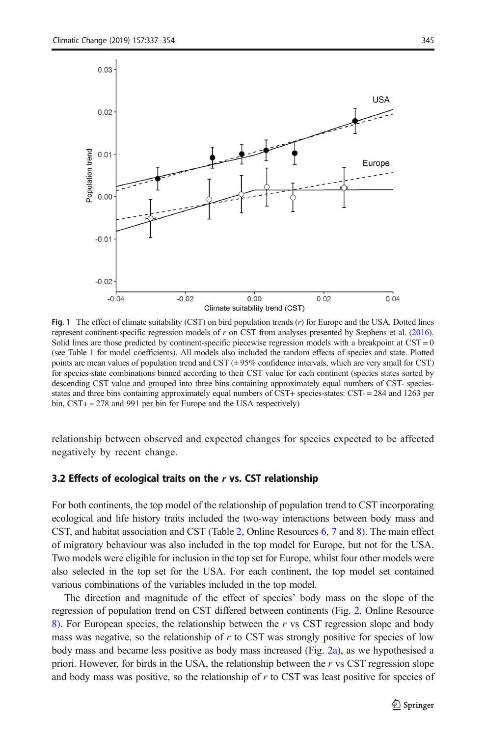<span id="page-8-0"></span>

Fig. 1 The effect of climate suitability (CST) on bird population trends  $(r)$  for Europe and the USA. Dotted lines represent continent-specific regression models of r on CST from analyses presented by Stephens et al. ([2016](#page-15-0)). Solid lines are those predicted by continent-specific piecewise regression models with a breakpoint at CST = 0 (see Table [1](#page-7-0) for model coefficients). All models also included the random effects of species and state. Plotted points are mean values of population trend and CST  $(\pm 95\%$  confidence intervals, which are very small for CST) for species-state combinations binned according to their CST value for each continent (species states sorted by descending CST value and grouped into three bins containing approximately equal numbers of CST- speciesstates and three bins containing approximately equal numbers of CST+ species-states: CST- = 284 and 1263 per bin, CST+ = 278 and 991 per bin for Europe and the USA respectively)

relationship between observed and expected changes for species expected to be affected negatively by recent change.

#### 3.2 Effects of ecological traits on the  $r$  vs. CST relationship

For both continents, the top model of the relationship of population trend to CST incorporating ecological and life history traits included the two-way interactions between body mass and CST, and habitat association and CST (Table [2,](#page-9-0) Online Resources 6, 7 and 8). The main effect of migratory behaviour was also included in the top model for Europe, but not for the USA. Two models were eligible for inclusion in the top set for Europe, whilst four other models were also selected in the top set for the USA. For each continent, the top model set contained various combinations of the variables included in the top model.

The direction and magnitude of the effect of species' body mass on the slope of the regression of population trend on CST differed between continents (Fig. [2](#page-9-0), Online Resource 8). For European species, the relationship between the  $r$  vs CST regression slope and body mass was negative, so the relationship of  $r$  to CST was strongly positive for species of low body mass and became less positive as body mass increased (Fig. [2a](#page-9-0)), as we hypothesised a priori. However, for birds in the USA, the relationship between the  $r$  vs CST regression slope and body mass was positive, so the relationship of  $r$  to CST was least positive for species of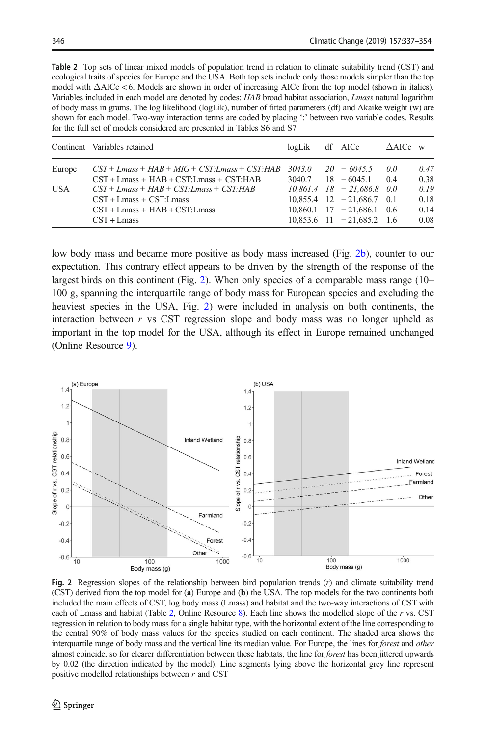<span id="page-9-0"></span>Table 2 Top sets of linear mixed models of population trend in relation to climate suitability trend (CST) and ecological traits of species for Europe and the USA. Both top sets include only those models simpler than the top model with ΔAICc < 6. Models are shown in order of increasing AICc from the top model (shown in italics). Variables included in each model are denoted by codes: HAB broad habitat association, Lmass natural logarithm of body mass in grams. The log likelihood (logLik), number of fitted parameters (df) and Akaike weight (w) are shown for each model. Two-way interaction terms are coded by placing ':' between two variable codes. Results for the full set of models considered are presented in Tables S6 and S7

|        | Continent Variables retained                                                                     | logLik | df AICc                                                         | $\triangle$ AICc w |              |
|--------|--------------------------------------------------------------------------------------------------|--------|-----------------------------------------------------------------|--------------------|--------------|
| Europe | $CST + Lmass + HAB + MIG + CST: Lmass + CST: HAB$<br>$CST + Lmass + HAB + CST: Lmass + CST: HAB$ | 3040.7 | $3043.0$ $20 - 6045.5$<br>$18 - 6045.1$                         | 0.0<br>0.4         | 0.47<br>0.38 |
| USA    | $CST+Lmass+HAB+CST: Lmass+CST: HAB$<br>$CST + Lmass + CST: Lmass$                                |        | $10.861.4$ $18 - 21.686.8$ 0.0<br>$10.855.4$ 12 $-21.686.7$ 0.1 |                    | 0.19<br>0.18 |
|        | $CST + Lmass + HAB + CST: Lmass$<br>$CST + Lmass$                                                |        | $10.860.1$ $17 - 21.686.1$ 0.6<br>$10.853.6$ 11 $-21.685.2$ 1.6 |                    | 0.14<br>0.08 |

low body mass and became more positive as body mass increased (Fig. 2b), counter to our expectation. This contrary effect appears to be driven by the strength of the response of the largest birds on this continent (Fig. 2). When only species of a comparable mass range (10– 100 g, spanning the interquartile range of body mass for European species and excluding the heaviest species in the USA, Fig. 2) were included in analysis on both continents, the interaction between  $r$  vs CST regression slope and body mass was no longer upheld as important in the top model for the USA, although its effect in Europe remained unchanged (Online Resource 9).



Fig. 2 Regression slopes of the relationship between bird population trends (r) and climate suitability trend (CST) derived from the top model for (a) Europe and (b) the USA. The top models for the two continents both included the main effects of CST, log body mass (Lmass) and habitat and the two-way interactions of CST with each of Lmass and habitat (Table 2, Online Resource 8). Each line shows the modelled slope of the r vs. CST regression in relation to body mass for a single habitat type, with the horizontal extent of the line corresponding to the central 90% of body mass values for the species studied on each continent. The shaded area shows the interquartile range of body mass and the vertical line its median value. For Europe, the lines for forest and other almost coincide, so for clearer differentiation between these habitats, the line for forest has been jittered upwards by 0.02 (the direction indicated by the model). Line segments lying above the horizontal grey line represent positive modelled relationships between  $r$  and CST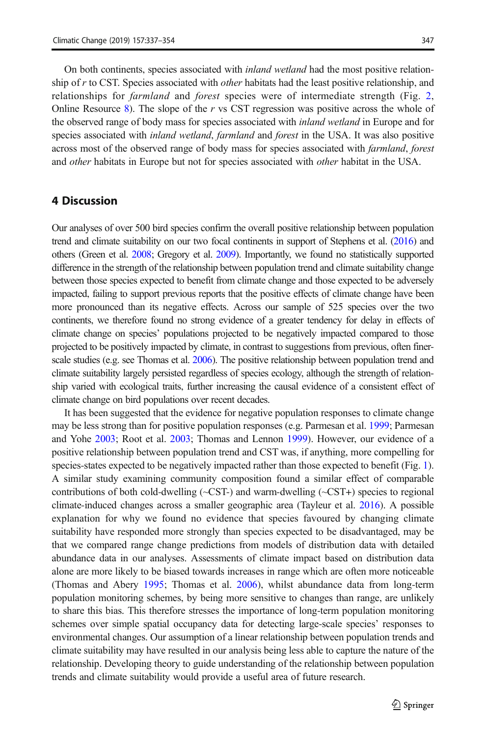On both continents, species associated with inland wetland had the most positive relationship of  $r$  to CST. Species associated with *other* habitats had the least positive relationship, and relationships for *farmland* and *forest* species were of intermediate strength (Fig. [2](#page-9-0), Online Resource 8). The slope of the r vs CST regression was positive across the whole of the observed range of body mass for species associated with *inland wetland* in Europe and for species associated with *inland wetland, farmland* and *forest* in the USA. It was also positive across most of the observed range of body mass for species associated with farmland, forest and other habitats in Europe but not for species associated with other habitat in the USA.

#### 4 Discussion

Our analyses of over 500 bird species confirm the overall positive relationship between population trend and climate suitability on our two focal continents in support of Stephens et al. [\(2016\)](#page-15-0) and others (Green et al. [2008;](#page-14-0) Gregory et al. [2009](#page-14-0)). Importantly, we found no statistically supported difference in the strength of the relationship between population trend and climate suitability change between those species expected to benefit from climate change and those expected to be adversely impacted, failing to support previous reports that the positive effects of climate change have been more pronounced than its negative effects. Across our sample of 525 species over the two continents, we therefore found no strong evidence of a greater tendency for delay in effects of climate change on species' populations projected to be negatively impacted compared to those projected to be positively impacted by climate, in contrast to suggestions from previous, often finer-scale studies (e.g. see Thomas et al. [2006\)](#page-15-0). The positive relationship between population trend and climate suitability largely persisted regardless of species ecology, although the strength of relationship varied with ecological traits, further increasing the causal evidence of a consistent effect of climate change on bird populations over recent decades.

It has been suggested that the evidence for negative population responses to climate change may be less strong than for positive population responses (e.g. Parmesan et al. [1999](#page-15-0); Parmesan and Yohe [2003;](#page-15-0) Root et al. [2003](#page-15-0); Thomas and Lennon [1999](#page-15-0)). However, our evidence of a positive relationship between population trend and CST was, if anything, more compelling for species-states expected to be negatively impacted rather than those expected to benefit (Fig. [1](#page-8-0)). A similar study examining community composition found a similar effect of comparable contributions of both cold-dwelling (~CST-) and warm-dwelling (~CST+) species to regional climate-induced changes across a smaller geographic area (Tayleur et al. [2016\)](#page-15-0). A possible explanation for why we found no evidence that species favoured by changing climate suitability have responded more strongly than species expected to be disadvantaged, may be that we compared range change predictions from models of distribution data with detailed abundance data in our analyses. Assessments of climate impact based on distribution data alone are more likely to be biased towards increases in range which are often more noticeable (Thomas and Abery [1995](#page-15-0); Thomas et al. [2006\)](#page-15-0), whilst abundance data from long-term population monitoring schemes, by being more sensitive to changes than range, are unlikely to share this bias. This therefore stresses the importance of long-term population monitoring schemes over simple spatial occupancy data for detecting large-scale species' responses to environmental changes. Our assumption of a linear relationship between population trends and climate suitability may have resulted in our analysis being less able to capture the nature of the relationship. Developing theory to guide understanding of the relationship between population trends and climate suitability would provide a useful area of future research.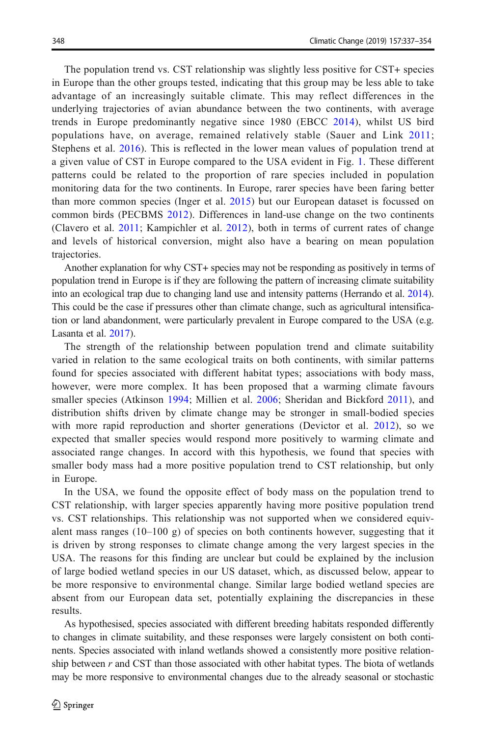The population trend vs. CST relationship was slightly less positive for CST+ species in Europe than the other groups tested, indicating that this group may be less able to take advantage of an increasingly suitable climate. This may reflect differences in the underlying trajectories of avian abundance between the two continents, with average trends in Europe predominantly negative since 1980 (EBCC [2014\)](#page-13-0), whilst US bird populations have, on average, remained relatively stable (Sauer and Link [2011](#page-15-0); Stephens et al. [2016](#page-15-0)). This is reflected in the lower mean values of population trend at a given value of CST in Europe compared to the USA evident in Fig. [1](#page-8-0). These different patterns could be related to the proportion of rare species included in population monitoring data for the two continents. In Europe, rarer species have been faring better than more common species (Inger et al. [2015](#page-14-0)) but our European dataset is focussed on common birds (PECBMS [2012\)](#page-15-0). Differences in land-use change on the two continents (Clavero et al. [2011](#page-13-0); Kampichler et al. [2012](#page-14-0)), both in terms of current rates of change and levels of historical conversion, might also have a bearing on mean population trajectories.

Another explanation for why CST+ species may not be responding as positively in terms of population trend in Europe is if they are following the pattern of increasing climate suitability into an ecological trap due to changing land use and intensity patterns (Herrando et al. [2014](#page-14-0)). This could be the case if pressures other than climate change, such as agricultural intensification or land abandonment, were particularly prevalent in Europe compared to the USA (e.g. Lasanta et al. [2017](#page-14-0)).

The strength of the relationship between population trend and climate suitability varied in relation to the same ecological traits on both continents, with similar patterns found for species associated with different habitat types; associations with body mass, however, were more complex. It has been proposed that a warming climate favours smaller species (Atkinson [1994;](#page-13-0) Millien et al. [2006;](#page-15-0) Sheridan and Bickford [2011\)](#page-15-0), and distribution shifts driven by climate change may be stronger in small-bodied species with more rapid reproduction and shorter generations (Devictor et al. [2012\)](#page-13-0), so we expected that smaller species would respond more positively to warming climate and associated range changes. In accord with this hypothesis, we found that species with smaller body mass had a more positive population trend to CST relationship, but only in Europe.

In the USA, we found the opposite effect of body mass on the population trend to CST relationship, with larger species apparently having more positive population trend vs. CST relationships. This relationship was not supported when we considered equivalent mass ranges  $(10-100 \text{ g})$  of species on both continents however, suggesting that it is driven by strong responses to climate change among the very largest species in the USA. The reasons for this finding are unclear but could be explained by the inclusion of large bodied wetland species in our US dataset, which, as discussed below, appear to be more responsive to environmental change. Similar large bodied wetland species are absent from our European data set, potentially explaining the discrepancies in these results.

As hypothesised, species associated with different breeding habitats responded differently to changes in climate suitability, and these responses were largely consistent on both continents. Species associated with inland wetlands showed a consistently more positive relationship between  $r$  and CST than those associated with other habitat types. The biota of wetlands may be more responsive to environmental changes due to the already seasonal or stochastic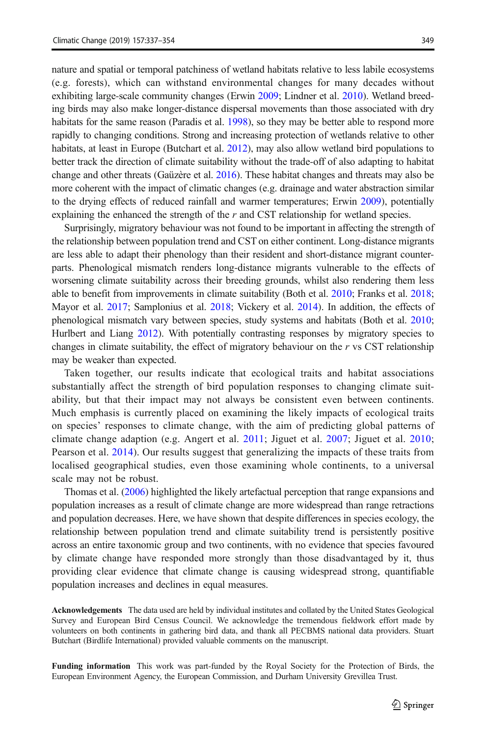nature and spatial or temporal patchiness of wetland habitats relative to less labile ecosystems (e.g. forests), which can withstand environmental changes for many decades without exhibiting large-scale community changes (Erwin [2009;](#page-13-0) Lindner et al. [2010](#page-14-0)). Wetland breeding birds may also make longer-distance dispersal movements than those associated with dry habitats for the same reason (Paradis et al. [1998](#page-15-0)), so they may be better able to respond more rapidly to changing conditions. Strong and increasing protection of wetlands relative to other habitats, at least in Europe (Butchart et al. [2012\)](#page-13-0), may also allow wetland bird populations to better track the direction of climate suitability without the trade-off of also adapting to habitat change and other threats (Gaüzère et al. [2016](#page-14-0)). These habitat changes and threats may also be more coherent with the impact of climatic changes (e.g. drainage and water abstraction similar to the drying effects of reduced rainfall and warmer temperatures; Erwin [2009\)](#page-13-0), potentially explaining the enhanced the strength of the  $r$  and CST relationship for wetland species.

Surprisingly, migratory behaviour was not found to be important in affecting the strength of the relationship between population trend and CST on either continent. Long-distance migrants are less able to adapt their phenology than their resident and short-distance migrant counterparts. Phenological mismatch renders long-distance migrants vulnerable to the effects of worsening climate suitability across their breeding grounds, whilst also rendering them less able to benefit from improvements in climate suitability (Both et al. [2010](#page-13-0); Franks et al. [2018](#page-14-0); Mayor et al. [2017](#page-14-0); Samplonius et al. [2018;](#page-15-0) Vickery et al. [2014\)](#page-16-0). In addition, the effects of phenological mismatch vary between species, study systems and habitats (Both et al. [2010](#page-13-0); Hurlbert and Liang [2012](#page-14-0)). With potentially contrasting responses by migratory species to changes in climate suitability, the effect of migratory behaviour on the  $r$  vs CST relationship may be weaker than expected.

Taken together, our results indicate that ecological traits and habitat associations substantially affect the strength of bird population responses to changing climate suitability, but that their impact may not always be consistent even between continents. Much emphasis is currently placed on examining the likely impacts of ecological traits on species' responses to climate change, with the aim of predicting global patterns of climate change adaption (e.g. Angert et al. [2011](#page-13-0); Jiguet et al. [2007;](#page-14-0) Jiguet et al. [2010](#page-14-0); Pearson et al. [2014\)](#page-15-0). Our results suggest that generalizing the impacts of these traits from localised geographical studies, even those examining whole continents, to a universal scale may not be robust.

Thomas et al. ([2006](#page-15-0)) highlighted the likely artefactual perception that range expansions and population increases as a result of climate change are more widespread than range retractions and population decreases. Here, we have shown that despite differences in species ecology, the relationship between population trend and climate suitability trend is persistently positive across an entire taxonomic group and two continents, with no evidence that species favoured by climate change have responded more strongly than those disadvantaged by it, thus providing clear evidence that climate change is causing widespread strong, quantifiable population increases and declines in equal measures.

Acknowledgements The data used are held by individual institutes and collated by the United States Geological Survey and European Bird Census Council. We acknowledge the tremendous fieldwork effort made by volunteers on both continents in gathering bird data, and thank all PECBMS national data providers. Stuart Butchart (Birdlife International) provided valuable comments on the manuscript.

Funding information This work was part-funded by the Royal Society for the Protection of Birds, the European Environment Agency, the European Commission, and Durham University Grevillea Trust.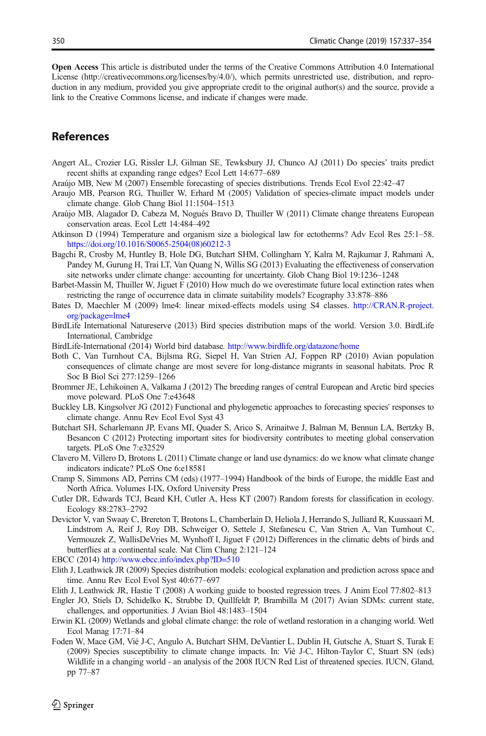<span id="page-13-0"></span>Open Access This article is distributed under the terms of the Creative Commons Attribution 4.0 International License (http://creativecommons.org/licenses/by/4.0/), which permits unrestricted use, distribution, and reproduction in any medium, provided you give appropriate credit to the original author(s) and the source, provide a link to the Creative Commons license, and indicate if changes were made.

# References

- Angert AL, Crozier LG, Rissler LJ, Gilman SE, Tewksbury JJ, Chunco AJ (2011) Do species' traits predict recent shifts at expanding range edges? Ecol Lett 14:677–689
- Araújo MB, New M (2007) Ensemble forecasting of species distributions. Trends Ecol Evol 22:42–47
- Araujo MB, Pearson RG, Thuiller W, Erhard M (2005) Validation of species-climate impact models under climate change. Glob Chang Biol 11:1504–1513
- Araújo MB, Alagador D, Cabeza M, Nogués Bravo D, Thuiller W (2011) Climate change threatens European conservation areas. Ecol Lett 14:484–492
- Atkinson D (1994) Temperature and organism size a biological law for ectotherms? Adv Ecol Res 25:1–58. [https://doi.org/10.1016/S0065-2504\(08\)60212-3](https://doi.org/10.1016/S0065-2504(08)60212-3)
- Bagchi R, Crosby M, Huntley B, Hole DG, Butchart SHM, Collingham Y, Kalra M, Rajkumar J, Rahmani A, Pandey M, Gurung H, Trai LT, Van Quang N, Willis SG (2013) Evaluating the effectiveness of conservation site networks under climate change: accounting for uncertainty. Glob Chang Biol 19:1236–1248
- Barbet-Massin M, Thuiller W, Jiguet F (2010) How much do we overestimate future local extinction rates when restricting the range of occurrence data in climate suitability models? Ecography 33:878–886
- Bates D, Maechler M (2009) lme4: linear mixed-effects models using S4 classes. [http://CRAN.R-project.](http://cran.r-project.org/package=lme4) [org/package=lme4](http://cran.r-project.org/package=lme4)
- BirdLife International Natureserve (2013) Bird species distribution maps of the world. Version 3.0. BirdLife International, Cambridge
- BirdLife-International (2014) World bird database. <http://www.birdlife.org/datazone/home>
- Both C, Van Turnhout CA, Bijlsma RG, Siepel H, Van Strien AJ, Foppen RP (2010) Avian population consequences of climate change are most severe for long-distance migrants in seasonal habitats. Proc R Soc B Biol Sci 277:1259–1266
- Brommer JE, Lehikoinen A, Valkama J (2012) The breeding ranges of central European and Arctic bird species move poleward. PLoS One 7:e43648
- Buckley LB, Kingsolver JG (2012) Functional and phylogenetic approaches to forecasting species' responses to climate change. Annu Rev Ecol Evol Syst 43
- Butchart SH, Scharlemann JP, Evans MI, Quader S, Arico S, Arinaitwe J, Balman M, Bennun LA, Bertzky B, Besancon C (2012) Protecting important sites for biodiversity contributes to meeting global conservation targets. PLoS One 7:e32529
- Clavero M, Villero D, Brotons L (2011) Climate change or land use dynamics: do we know what climate change indicators indicate? PLoS One 6:e18581
- Cramp S, Simmons AD, Perrins CM (eds) (1977–1994) Handbook of the birds of Europe, the middle East and North Africa. Volumes I-IX, Oxford University Press
- Cutler DR, Edwards TCJ, Beard KH, Cutler A, Hess KT (2007) Random forests for classification in ecology. Ecology 88:2783–2792
- Devictor V, van Swaay C, Brereton T, Brotons L, Chamberlain D, Heliola J, Herrando S, Julliard R, Kuussaari M, Lindstrom A, Reif J, Roy DB, Schweiger O, Settele J, Stefanescu C, Van Strien A, Van Turnhout C, Vermouzek Z, WallisDeVries M, Wynhoff I, Jiguet F (2012) Differences in the climatic debts of birds and butterflies at a continental scale. Nat Clim Chang 2:121–124

EBCC (2014) <http://www.ebcc.info/index.php?ID=510>

- Elith J, Leathwick JR (2009) Species distribution models: ecological explanation and prediction across space and time. Annu Rev Ecol Evol Syst 40:677–697
- Elith J, Leathwick JR, Hastie T (2008) A working guide to boosted regression trees. J Anim Ecol 77:802–813
- Engler JO, Stiels D, Schidelko K, Strubbe D, Quillfeldt P, Brambilla M (2017) Avian SDMs: current state, challenges, and opportunities. J Avian Biol 48:1483–1504
- Erwin KL (2009) Wetlands and global climate change: the role of wetland restoration in a changing world. Wetl Ecol Manag 17:71–84
- Foden W, Mace GM, Vié J-C, Angulo A, Butchart SHM, DeVantier L, Dublin H, Gutsche A, Stuart S, Turak E (2009) Species susceptibility to climate change impacts. In: Vié J-C, Hilton-Taylor C, Stuart SN (eds) Wildlife in a changing world - an analysis of the 2008 IUCN Red List of threatened species. IUCN, Gland, pp 77–87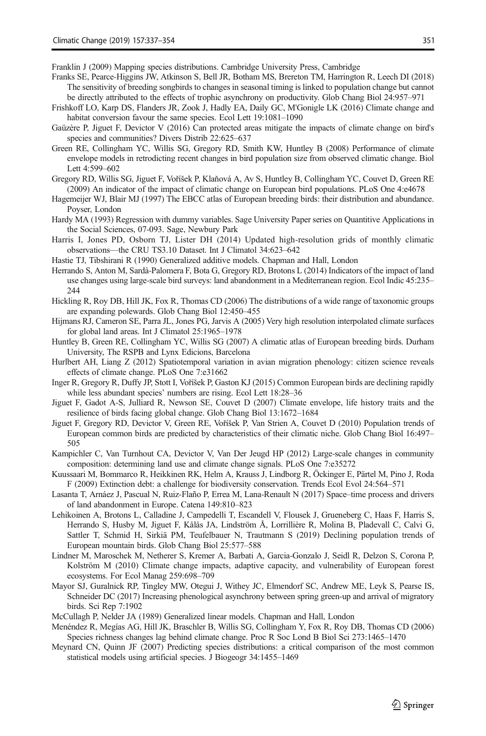<span id="page-14-0"></span>Franklin J (2009) Mapping species distributions. Cambridge University Press, Cambridge

- Franks SE, Pearce-Higgins JW, Atkinson S, Bell JR, Botham MS, Brereton TM, Harrington R, Leech DI (2018) The sensitivity of breeding songbirds to changes in seasonal timing is linked to population change but cannot be directly attributed to the effects of trophic asynchrony on productivity. Glob Chang Biol 24:957–971
- Frishkoff LO, Karp DS, Flanders JR, Zook J, Hadly EA, Daily GC, M'Gonigle LK (2016) Climate change and habitat conversion favour the same species. Ecol Lett 19:1081–1090
- Gaüzère P, Jiguet F, Devictor V (2016) Can protected areas mitigate the impacts of climate change on bird's species and communities? Divers Distrib 22:625–637
- Green RE, Collingham YC, Willis SG, Gregory RD, Smith KW, Huntley B (2008) Performance of climate envelope models in retrodicting recent changes in bird population size from observed climatic change. Biol Lett 4:599–602
- Gregory RD, Willis SG, Jiguet F, Voříšek P, Klaňová A, Av S, Huntley B, Collingham YC, Couvet D, Green RE (2009) An indicator of the impact of climatic change on European bird populations. PLoS One 4:e4678
- Hagemeijer WJ, Blair MJ (1997) The EBCC atlas of European breeding birds: their distribution and abundance. Poyser, London
- Hardy MA (1993) Regression with dummy variables. Sage University Paper series on Quantitive Applications in the Social Sciences, 07-093. Sage, Newbury Park
- Harris I, Jones PD, Osborn TJ, Lister DH (2014) Updated high-resolution grids of monthly climatic observations—the CRU TS3.10 Dataset. Int J Climatol 34:623–642
- Hastie TJ, Tibshirani R (1990) Generalized additive models. Chapman and Hall, London
- Herrando S, Anton M, Sardà-Palomera F, Bota G, Gregory RD, Brotons L (2014) Indicators of the impact of land use changes using large-scale bird surveys: land abandonment in a Mediterranean region. Ecol Indic 45:235– 244
- Hickling R, Roy DB, Hill JK, Fox R, Thomas CD (2006) The distributions of a wide range of taxonomic groups are expanding polewards. Glob Chang Biol 12:450–455
- Hijmans RJ, Cameron SE, Parra JL, Jones PG, Jarvis A (2005) Very high resolution interpolated climate surfaces for global land areas. Int J Climatol 25:1965–1978
- Huntley B, Green RE, Collingham YC, Willis SG (2007) A climatic atlas of European breeding birds. Durham University, The RSPB and Lynx Edicions, Barcelona
- Hurlbert AH, Liang Z (2012) Spatiotemporal variation in avian migration phenology: citizen science reveals effects of climate change. PLoS One 7:e31662
- Inger R, Gregory R, Duffy JP, Stott I, Voříšek P, Gaston KJ (2015) Common European birds are declining rapidly while less abundant species' numbers are rising. Ecol Lett 18:28–36
- Jiguet F, Gadot A-S, Julliard R, Newson SE, Couvet D (2007) Climate envelope, life history traits and the resilience of birds facing global change. Glob Chang Biol 13:1672–1684
- Jiguet F, Gregory RD, Devictor V, Green RE, Voříšek P, Van Strien A, Couvet D (2010) Population trends of European common birds are predicted by characteristics of their climatic niche. Glob Chang Biol 16:497– 505
- Kampichler C, Van Turnhout CA, Devictor V, Van Der Jeugd HP (2012) Large-scale changes in community composition: determining land use and climate change signals. PLoS One 7:e35272
- Kuussaari M, Bommarco R, Heikkinen RK, Helm A, Krauss J, Lindborg R, Öckinger E, Pärtel M, Pino J, Roda F (2009) Extinction debt: a challenge for biodiversity conservation. Trends Ecol Evol 24:564–571
- Lasanta T, Arnáez J, Pascual N, Ruiz-Flaño P, Errea M, Lana-Renault N (2017) Space–time process and drivers of land abandonment in Europe. Catena 149:810–823
- Lehikoinen A, Brotons L, Calladine J, Campedelli T, Escandell V, Flousek J, Grueneberg C, Haas F, Harris S, Herrando S, Husby M, Jiguet F, Kålås JA, Lindström Å, Lorrillière R, Molina B, Pladevall C, Calvi G, Sattler T, Schmid H, Sirkiä PM, Teufelbauer N, Trautmann S (2019) Declining population trends of European mountain birds. Glob Chang Biol 25:577–588
- Lindner M, Maroschek M, Netherer S, Kremer A, Barbati A, Garcia-Gonzalo J, Seidl R, Delzon S, Corona P, Kolström M (2010) Climate change impacts, adaptive capacity, and vulnerability of European forest ecosystems. For Ecol Manag 259:698–709
- Mayor SJ, Guralnick RP, Tingley MW, Otegui J, Withey JC, Elmendorf SC, Andrew ME, Leyk S, Pearse IS, Schneider DC (2017) Increasing phenological asynchrony between spring green-up and arrival of migratory birds. Sci Rep 7:1902
- McCullagh P, Nelder JA (1989) Generalized linear models. Chapman and Hall, London
- Menéndez R, Megías AG, Hill JK, Braschler B, Willis SG, Collingham Y, Fox R, Roy DB, Thomas CD (2006) Species richness changes lag behind climate change. Proc R Soc Lond B Biol Sci 273:1465–1470
- Meynard CN, Quinn JF (2007) Predicting species distributions: a critical comparison of the most common statistical models using artificial species. J Biogeogr 34:1455–1469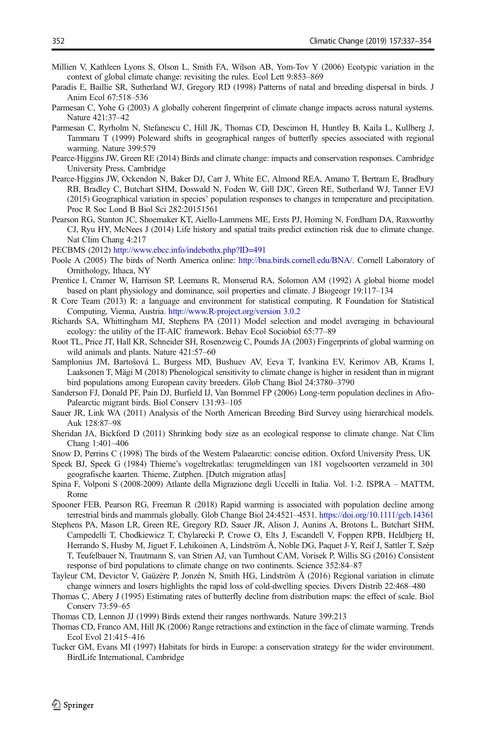- <span id="page-15-0"></span>Millien V, Kathleen Lyons S, Olson L, Smith FA, Wilson AB, Yom-Tov Y (2006) Ecotypic variation in the context of global climate change: revisiting the rules. Ecol Lett 9:853–869
- Paradis E, Baillie SR, Sutherland WJ, Gregory RD (1998) Patterns of natal and breeding dispersal in birds. J Anim Ecol 67:518–536
- Parmesan C, Yohe G (2003) A globally coherent fingerprint of climate change impacts across natural systems. Nature 421:37–42
- Parmesan C, Ryrholm N, Stefanescu C, Hill JK, Thomas CD, Descimon H, Huntley B, Kaila L, Kullberg J, Tammaru T (1999) Poleward shifts in geographical ranges of butterfly species associated with regional warming. Nature 399:579
- Pearce-Higgins JW, Green RE (2014) Birds and climate change: impacts and conservation responses. Cambridge University Press, Cambridge
- Pearce-Higgins JW, Ockendon N, Baker DJ, Carr J, White EC, Almond REA, Amano T, Bertram E, Bradbury RB, Bradley C, Butchart SHM, Doswald N, Foden W, Gill DJC, Green RE, Sutherland WJ, Tanner EVJ (2015) Geographical variation in species' population responses to changes in temperature and precipitation. Proc R Soc Lond B Biol Sci 282:20151561
- Pearson RG, Stanton JC, Shoemaker KT, Aiello-Lammens ME, Ersts PJ, Horning N, Fordham DA, Raxworthy CJ, Ryu HY, McNees J (2014) Life history and spatial traits predict extinction risk due to climate change. Nat Clim Chang 4:217
- PECBMS (2012) <http://www.ebcc.info/indebothx.php?ID=491>
- Poole A (2005) The birds of North America online: [http://bna.birds.cornell.edu/BNA/.](http://bna.birds.cornell.edu/BNA/) Cornell Laboratory of Ornithology, Ithaca, NY
- Prentice I, Cramer W, Harrison SP, Leemans R, Monserud RA, Solomon AM (1992) A global biome model based on plant physiology and dominance, soil properties and climate. J Biogeogr 19:117–134
- R Core Team (2013) R: a language and environment for statistical computing. R Foundation for Statistical Computing, Vienna, Austria. [http://www.R-project.org/version 3.0.2](http://www.r-project.org/version%203.0.2)
- Richards SA, Whittingham MJ, Stephens PA (2011) Model selection and model averaging in behavioural ecology: the utility of the IT-AIC framework. Behav Ecol Sociobiol 65:77–89
- Root TL, Price JT, Hall KR, Schneider SH, Rosenzweig C, Pounds JA (2003) Fingerprints of global warming on wild animals and plants. Nature 421:57–60
- Samplonius JM, Bartošová L, Burgess MD, Bushuev AV, Eeva T, Ivankina EV, Kerimov AB, Krams I, Laaksonen T, Mägi M (2018) Phenological sensitivity to climate change is higher in resident than in migrant bird populations among European cavity breeders. Glob Chang Biol 24:3780–3790
- Sanderson FJ, Donald PF, Pain DJ, Burfield IJ, Van Bommel FP (2006) Long-term population declines in Afro-Palearctic migrant birds. Biol Conserv 131:93–105
- Sauer JR, Link WA (2011) Analysis of the North American Breeding Bird Survey using hierarchical models. Auk 128:87–98
- Sheridan JA, Bickford D (2011) Shrinking body size as an ecological response to climate change. Nat Clim Chang 1:401–406
- Snow D, Perrins C (1998) The birds of the Western Palaearctic: concise edition. Oxford University Press, UK
- Speek BJ, Speek G (1984) Thieme's vogeltrekatlas: terugmeldingen van 181 vogelsoorten verzameld in 301 geografische kaarten. Thieme, Zutphen. [Dutch migration atlas]
- Spina F, Volponi S (2008-2009) Atlante della Migrazione degli Uccelli in Italia. Vol. 1-2. ISPRA MATTM, Rome
- Spooner FEB, Pearson RG, Freeman R (2018) Rapid warming is associated with population decline among terrestrial birds and mammals globally. Glob Change Biol 24:4521–4531. [https://doi.org/10.1111/gcb.14361](https://doi.org/10.1016/S0065-2504(08)60212-3)
- Stephens PA, Mason LR, Green RE, Gregory RD, Sauer JR, Alison J, Aunins A, Brotons L, Butchart SHM, Campedelli T, Chodkiewicz T, Chylarecki P, Crowe O, Elts J, Escandell V, Foppen RPB, Heldbjerg H, Herrando S, Husby M, Jiguet F, Lehikoinen A, Lindström Å, Noble DG, Paquet J-Y, Reif J, Sattler T, Szép T, Teufelbauer N, Trautmann S, van Strien AJ, van Turnhout CAM, Vorisek P, Willis SG (2016) Consistent response of bird populations to climate change on two continents. Science 352:84–87
- Tayleur CM, Devictor V, Gaüzère P, Jonzén N, Smith HG, Lindström Å (2016) Regional variation in climate change winners and losers highlights the rapid loss of cold-dwelling species. Divers Distrib 22:468–480
- Thomas C, Abery J (1995) Estimating rates of butterfly decline from distribution maps: the effect of scale. Biol Conserv 73:59–65
- Thomas CD, Lennon JJ (1999) Birds extend their ranges northwards. Nature 399:213
- Thomas CD, Franco AM, Hill JK (2006) Range retractions and extinction in the face of climate warming. Trends Ecol Evol 21:415–416
- Tucker GM, Evans MI (1997) Habitats for birds in Europe: a conservation strategy for the wider environment. BirdLife International, Cambridge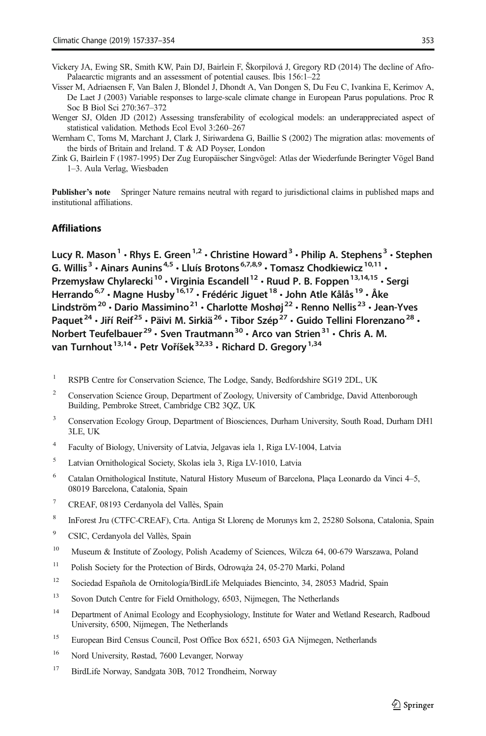- <span id="page-16-0"></span>Visser M, Adriaensen F, Van Balen J, Blondel J, Dhondt A, Van Dongen S, Du Feu C, Ivankina E, Kerimov A, De Laet J (2003) Variable responses to large-scale climate change in European Parus populations. Proc R Soc B Biol Sci 270:367–372
- Wenger SJ, Olden JD (2012) Assessing transferability of ecological models: an underappreciated aspect of statistical validation. Methods Ecol Evol 3:260–267
- Wernham C, Toms M, Marchant J, Clark J, Siriwardena G, Baillie S (2002) The migration atlas: movements of the birds of Britain and Ireland. T & AD Poyser, London
- Zink G, Bairlein F (1987-1995) Der Zug Europäischer Singvögel: Atlas der Wiederfunde Beringter Vögel Band 1–3. Aula Verlag, Wiesbaden

Publisher's note Springer Nature remains neutral with regard to jurisdictional claims in published maps and institutional affiliations.

#### Affiliations

Lucy R. Mason<sup>1</sup> • Rhys E. Green<sup>1,2</sup> • Christine Howard<sup>3</sup> • Philip A. Stephens<sup>3</sup> • Stephen G. Willis<sup>3</sup> • Ainars Aunins<sup>4,5</sup> • Lluís Brotons<sup>6,7,8,9</sup> • Tomasz Chodkiewicz<sup>10,11</sup> • Przemysław Chylarecki<sup>10</sup> · Virginia Escandell<sup>12</sup> · Ruud P. B. Foppen<sup>13,14,15</sup> · Sergi Herrando<sup>6,7</sup> · Magne Husby<sup>16,17</sup> · Frédéric Jiguet<sup>18</sup> · John Atle Kålås<sup>19</sup> · Åke Lindström<sup>20</sup> · Dario Massimino<sup>21</sup> · Charlotte Moshøj<sup>22</sup> · Renno Nellis<sup>23</sup> · Jean-Yves Paquet<sup>24</sup> · Jiří Reif<sup>25</sup> · Päivi M. Sirkiä<sup>26</sup> · Tibor Szép<sup>27</sup> · Guido Tellini Florenzano<sup>28</sup> · Norbert Teufelbauer<sup>29</sup> · Sven Trautmann<sup>30</sup> · Arco van Strien<sup>31</sup> · Chris A. M. van Turnhout<sup>13,14</sup> · Petr Voříšek<sup>32,33</sup> · Richard D. Gregory<sup>1,34</sup>

- <sup>1</sup> RSPB Centre for Conservation Science, The Lodge, Sandy, Bedfordshire SG19 2DL, UK
- <sup>2</sup> Conservation Science Group, Department of Zoology, University of Cambridge, David Attenborough Building, Pembroke Street, Cambridge CB2 3QZ, UK
- <sup>3</sup> Conservation Ecology Group, Department of Biosciences, Durham University, South Road, Durham DH1 3LE, UK
- <sup>4</sup> Faculty of Biology, University of Latvia, Jelgavas iela 1, Riga LV-1004, Latvia
- <sup>5</sup> Latvian Ornithological Society, Skolas iela 3, Riga LV-1010, Latvia
- <sup>6</sup> Catalan Ornithological Institute, Natural History Museum of Barcelona, Plaça Leonardo da Vinci 4–5, 08019 Barcelona, Catalonia, Spain
- <sup>7</sup> CREAF, 08193 Cerdanyola del Vallès, Spain
- <sup>8</sup> InForest Jru (CTFC-CREAF), Crta. Antiga St Llorenç de Morunys km 2, 25280 Solsona, Catalonia, Spain
- <sup>9</sup> CSIC, Cerdanyola del Vallès, Spain
- <sup>10</sup> Museum & Institute of Zoology, Polish Academy of Sciences, Wilcza 64, 00-679 Warszawa, Poland
- <sup>11</sup> Polish Society for the Protection of Birds, Odrowąża 24, 05-270 Marki, Poland
- <sup>12</sup> Sociedad Española de Ornitología/BirdLife Melquiades Biencinto, 34, 28053 Madrid, Spain
- <sup>13</sup> Sovon Dutch Centre for Field Ornithology, 6503, Nijmegen, The Netherlands
- <sup>14</sup> Department of Animal Ecology and Ecophysiology, Institute for Water and Wetland Research, Radboud University, 6500, Nijmegen, The Netherlands
- <sup>15</sup> European Bird Census Council, Post Office Box 6521, 6503 GA Nijmegen, Netherlands
- <sup>16</sup> Nord University, Røstad, 7600 Levanger, Norway
- <sup>17</sup> BirdLife Norway, Sandgata 30B, 7012 Trondheim, Norway